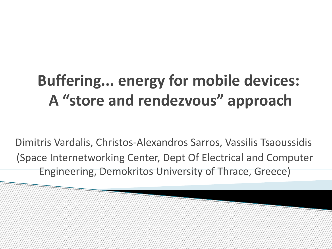#### **Buffering... energy for mobile devices: A "store and rendezvous" approach**

Dimitris Vardalis, Christos-Alexandros Sarros, Vassilis Tsaoussidis (Space Internetworking Center, Dept Of Electrical and Computer Engineering, Demokritos University of Thrace, Greece)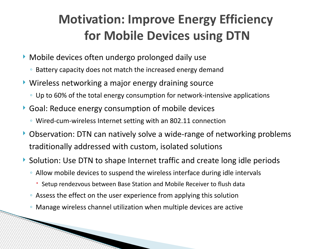#### **Motivation: Improve Energy Efficiency for Mobile Devices using DTN**

- Mobile devices often undergo prolonged daily use
	- Battery capacity does not match the increased energy demand
- ▶ Wireless networking a major energy draining source
	- Up to 60% of the total energy consumption for network-intensive applications
- Goal: Reduce energy consumption of mobile devices
	- Wired-cum-wireless Internet setting with an 802.11 connection
- ▶ Observation: DTN can natively solve a wide-range of networking problems traditionally addressed with custom, isolated solutions
- ▶ Solution: Use DTN to shape Internet traffic and create long idle periods
	- Allow mobile devices to suspend the wireless interface during idle intervals
		- Setup rendezvous between Base Station and Mobile Receiver to flush data
	- Assess the effect on the user experience from applying this solution

◦ Manage wireless channel utilization when multiple devices are active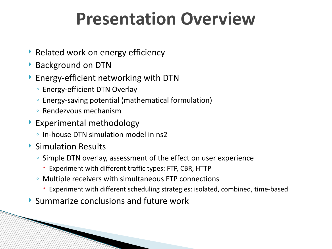#### **Presentation Overview**

- Related work on energy efficiency
- Background on DTN
- ▶ Energy-efficient networking with DTN
	- Energy-efficient DTN Overlay
	- Energy-saving potential (mathematical formulation)
	- Rendezvous mechanism
- Experimental methodology
	- In-house DTN simulation model in ns2
- ▶ Simulation Results

- Simple DTN overlay, assessment of the effect on user experience
	- Experiment with different traffic types: FTP, CBR, HTTP
- Multiple receivers with simultaneous FTP connections
	- Experiment with different scheduling strategies: isolated, combined, time-based
- Summarize conclusions and future work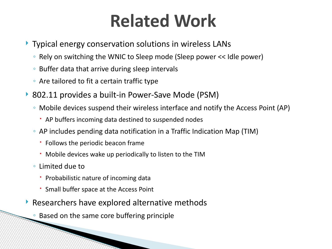#### **Related Work**

- Typical energy conservation solutions in wireless LANs
	- Rely on switching the WNIC to Sleep mode (Sleep power << Idle power)
	- Buffer data that arrive during sleep intervals
	- Are tailored to fit a certain traffic type
- ▶ 802.11 provides a built-in Power-Save Mode (PSM)
	- Mobile devices suspend their wireless interface and notify the Access Point (AP)
		- AP buffers incoming data destined to suspended nodes
	- AP includes pending data notification in a Traffic Indication Map (TIM)
		- Follows the periodic beacon frame
		- Mobile devices wake up periodically to listen to the TIM
	- Limited due to
		- Probabilistic nature of incoming data
		- Small buffer space at the Access Point

- Researchers have explored alternative methods
	- Based on the same core buffering principle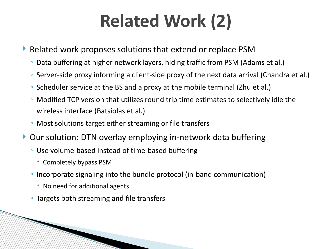# **Related Work (2)**

- Related work proposes solutions that extend or replace PSM
	- Data buffering at higher network layers, hiding traffic from PSM (Adams et al.)
	- Server-side proxy informing a client-side proxy of the next data arrival (Chandra et al.)
	- Scheduler service at the BS and a proxy at the mobile terminal (Zhu et al.)
	- Modified TCP version that utilizes round trip time estimates to selectively idle the wireless interface (Batsiolas et al.)
	- Most solutions target either streaming or file transfers
- ▶ Our solution: DTN overlay employing in-network data buffering
	- Use volume-based instead of time-based buffering
		- Completely bypass PSM
	- Incorporate signaling into the bundle protocol (in-band communication)
		- No need for additional agents
	- Targets both streaming and file transfers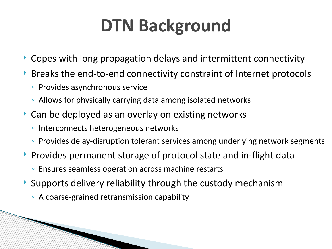# **DTN Background**

- Copes with long propagation delays and intermittent connectivity
- Breaks the end-to-end connectivity constraint of Internet protocols
	- Provides asynchronous service
	- Allows for physically carrying data among isolated networks
- ▶ Can be deployed as an overlay on existing networks
	- Interconnects heterogeneous networks
	- Provides delay-disruption tolerant services among underlying network segments
- **Provides permanent storage of protocol state and in-flight data** 
	- Ensures seamless operation across machine restarts
- $\triangleright$  Supports delivery reliability through the custody mechanism
	- A coarse-grained retransmission capability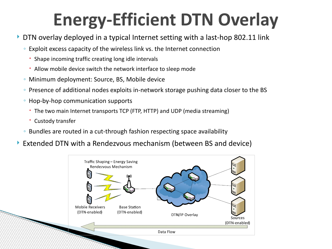# **Energy-Efficient DTN Overlay**

- DTN overlay deployed in a typical Internet setting with a last-hop 802.11 link
	- Exploit excess capacity of the wireless link vs. the Internet connection
		- Shape incoming traffic creating long idle intervals
		- Allow mobile device switch the network interface to sleep mode
	- Minimum deployment: Source, BS, Mobile device
	- Presence of additional nodes exploits in-network storage pushing data closer to the BS
	- Hop-by-hop communication supports
		- The two main Internet transports TCP (FTP, HTTP) and UDP (media streaming)
		- Custody transfer
	- Bundles are routed in a cut-through fashion respecting space availability
- Extended DTN with a Rendezvous mechanism (between BS and device)

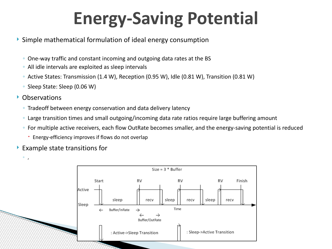# **Energy-Saving Potential**

- Simple mathematical formulation of ideal energy consumption
	- One-way traffic and constant incoming and outgoing data rates at the BS
	- All idle intervals are exploited as sleep intervals
	- Active States: Transmission (1.4 W), Reception (0.95 W), Idle (0.81 W), Transition (0.81 W)
	- Sleep State: Sleep (0.06 W)
- Observations
	- Tradeoff between energy conservation and data delivery latency
	- Large transition times and small outgoing/incoming data rate ratios require large buffering amount
	- For multiple active receivers, each flow OutRate becomes smaller, and the energy-saving potential is reduced
		- Energy-efficiency improves if flows do not overlap
- $\blacktriangleright$  Example state transitions for

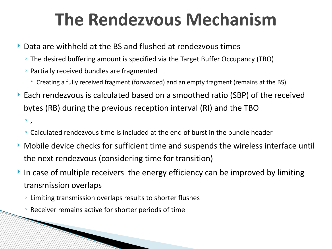#### **The Rendezvous Mechanism**

- Data are withheld at the BS and flushed at rendezvous times
	- The desired buffering amount is specified via the Target Buffer Occupancy (TBO)
	- Partially received bundles are fragmented
		- Creating a fully received fragment (forwarded) and an empty fragment (remains at the BS)
- Each rendezvous is calculated based on a smoothed ratio (SBP) of the received bytes (RB) during the previous reception interval (RI) and the TBO ◦ ,
	- Calculated rendezvous time is included at the end of burst in the bundle header
- Mobile device checks for sufficient time and suspends the wireless interface until the next rendezvous (considering time for transition)
- In case of multiple receivers the energy efficiency can be improved by limiting transmission overlaps
	- Limiting transmission overlaps results to shorter flushes
	- Receiver remains active for shorter periods of time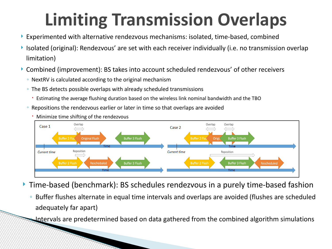# **Limiting Transmission Overlaps**

- Experimented with alternative rendezvous mechanisms: isolated, time-based, combined
- ▶ Isolated (original): Rendezvous' are set with each receiver individually (i.e. no transmission overlap limitation)
- Combined (improvement): BS takes into account scheduled rendezvous' of other receivers
	- NextRV is calculated according to the original mechanism
	- The BS detects possible overlaps with already scheduled transmissions
		- Estimating the average flushing duration based on the wireless link nominal bandwidth and the TBO
	- Repositions the rendezvous earlier or later in time so that overlaps are avoided
		- Minimize time shifting of the rendezvous



Time-based (benchmark): BS schedules rendezvous in a purely time-based fashion

◦ Buffer flushes alternate in equal time intervals and overlaps are avoided (flushes are scheduled adequately far apart)

◦ Intervals are predetermined based on data gathered from the combined algorithm simulations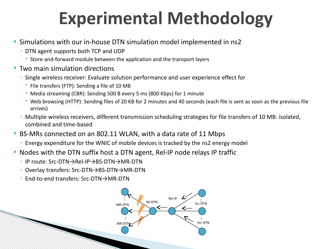# **Experimental Methodology**

- Simulations with our in-house DTN simulation model implemented in ns2
	- DTN agent supports both TCP and UDP
		- Store-and-forward module between the application and the transport layers
- **Two main simulation directions** 
	- Single wireless receiver: Evaluate solution performance and user experience effect for
		- File transfers (FTP): Sending a file of 10 MB
		- Media streaming (CBR): Sending 500 B every 5 ms (800 Kbps) for 1 minute
		- Web browsing (HTTP): Sending files of 20 KB for 2 minutes and 40 seconds (each file is sent as soon as the previous file arrives)
	- Multiple wireless receivers, different transmission scheduling strategies for file transfers of 10 MB: isolated, combined and time-based
- ▶ BS-MRs connected on an 802.11 WLAN, with a data rate of 11 Mbps
	- Energy expenditure for the WNIC of mobile devices is tracked by the ns2 energy model
- $\triangleright$  Nodes with the DTN suffix host a DTN agent, Rel-IP node relays IP traffic
	- IP route: Src-DTN→Rel-IP→BS-DTN→MR-DTN
	- Overlay transfers: Src-DTN→BS-DTN→MR-DTN
	- End-to-end transfers: Src-DTN→MR-DTN

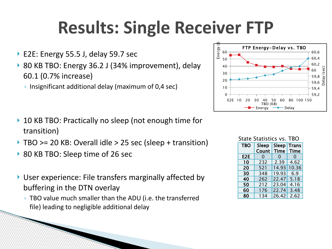## **Results: Single Receiver FTP**

- ▶ E2E: Energy 55.5 J, delay 59.7 sec
- ▶ 80 KB TBO: Energy 36.2 J (34% improvement), delay 60.1 (0.7% increase)
	- Insignificant additional delay (maximum of 0,4 sec)

- ▶ 10 KB TBO: Practically no sleep (not enough time for transition)
- TBO >= 20 KB: Overall idle > 25 sec (sleep + transition)
- ▶ 80 KB TBO: Sleep time of 26 sec
- ▶ User experience: File transfers marginally affected by buffering in the DTN overlay
	- TBO value much smaller than the ADU (i.e. the transferred file) leading to negligible additional delay



| <b>State Statistics vs. TBO</b> |       |       |              |
|---------------------------------|-------|-------|--------------|
| <b>TBO</b>                      | Sleep | Sleep | <b>Trans</b> |
|                                 | Count | Time  | Time         |
| E2E                             | 0     | 0     | 0            |
| 10                              | 232   | 2.39  | 4.62         |
| 20                              | 521   | 14.93 | 10.36        |
| 30                              | 348   | 19.93 | 6.9          |
| 40                              | 262   | 22.47 | 5.18         |
| 50                              | 212   | 23.04 | 4.16         |
| 60                              | 176   | 22.74 | 3.48         |
| 80                              | 134   | 26.42 | 2.62         |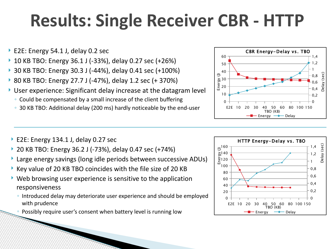# **Results: Single Receiver CBR - HTTP**

- ▶ E2E: Energy 54.1 J, delay 0.2 sec
- 10 KB TBO: Energy 36.1 J (-33%), delay 0.27 sec (+26%)
- 30 KB TBO: Energy 30.3 J (-44%), delay 0.41 sec (+100%)
- 80 KB TBO: Energy 27.7 J (-47%), delay 1.2 sec (+ 370%)
- User experience: Significant delay increase at the datagram level
	- Could be compensated by a small increase of the client buffering
	- 30 KB TBO: Additional delay (200 ms) hardly noticeable by the end-user
- E2E: Energy 134.1 J, delay 0.27 sec
- 20 KB TBO: Energy 36.2 J (-73%), delay 0.47 sec (+74%)
- Large energy savings (long idle periods between successive ADUs)
- Key value of 20 KB TBO coincides with the file size of 20 KB
- $\triangleright$  Web browsing user experience is sensitive to the application responsiveness
	- Introduced delay may deteriorate user experience and should be employed with prudence
	- Possibly require user's consent when battery level is running low



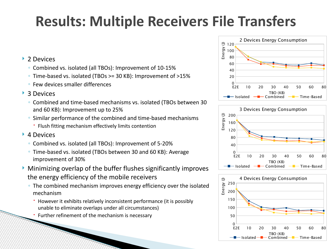#### **Results: Multiple Receivers File Transfers**

#### ▶ 2 Devices

- Combined vs. isolated (all TBOs): Improvement of 10-15%
- Time-based vs. isolated (TBOs >= 30 KB): Improvement of >15%
- Few devices smaller differences

#### ▶ 3 Devices

- Combined and time-based mechanisms vs. isolated (TBOs between 30 and 60 KB): Improvement up to 25%
- Similar performance of the combined and time-based mechanisms
	- Flush fitting mechanism effectively limits contention

#### ▶ 4 Devices

- Combined vs. isolated (all TBOs): Improvement of 5-20%
- Time-based vs. isolated (TBOs between 30 and 60 KB): Average improvement of 30%
- Minimizing overlap of the buffer flushes significantly improves the energy efficiency of the mobile receivers
	- The combined mechanism improves energy efficiency over the isolated mechanism
		- However it exhibits relatively inconsistent performance (it is possibly unable to eliminate overlaps under all circumstances)
		- Further refinement of the mechanism is necessary





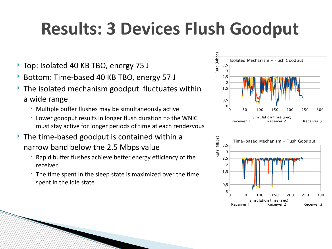# **Results: 3 Devices Flush Goodput**

- ▶ Top: Isolated 40 KB TBO, energy 75 J
- Bottom: Time-based 40 KB TBO, energy 57 J
- ▶ The isolated mechanism goodput fluctuates within a wide range
	- Multiple buffer flushes may be simultaneously active
	- Lower goodput results in longer flush duration => the WNIC must stay active for longer periods of time at each rendezvous
- The time-based goodput is contained within a narrow band below the 2.5 Mbps value
	- Rapid buffer flushes achieve better energy efficiency of the receiver
	- The time spent in the sleep state is maximized over the time spent in the idle state



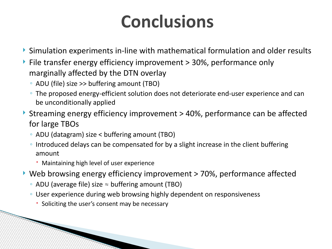## **Conclusions**

- Simulation experiments in-line with mathematical formulation and older results
- $\triangleright$  File transfer energy efficiency improvement  $>$  30%, performance only marginally affected by the DTN overlay
	- ADU (file) size >> buffering amount (TBO)
	- The proposed energy-efficient solution does not deteriorate end-user experience and can be unconditionally applied
- ▶ Streaming energy efficiency improvement > 40%, performance can be affected for large TBOs
	- ADU (datagram) size < buffering amount (TBO)
	- Introduced delays can be compensated for by a slight increase in the client buffering amount
		- Maintaining high level of user experience
- ▶ Web browsing energy efficiency improvement > 70%, performance affected
	- ADU (average file) size ≈ buffering amount (TBO)
	- User experience during web browsing highly dependent on responsiveness
		- Soliciting the user's consent may be necessary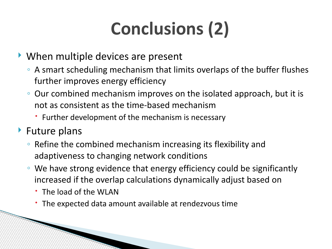# **Conclusions (2)**

- When multiple devices are present
	- A smart scheduling mechanism that limits overlaps of the buffer flushes further improves energy efficiency
	- Our combined mechanism improves on the isolated approach, but it is not as consistent as the time-based mechanism
		- Further development of the mechanism is necessary
- ▶ Future plans
	- Refine the combined mechanism increasing its flexibility and adaptiveness to changing network conditions
	- We have strong evidence that energy efficiency could be significantly increased if the overlap calculations dynamically adjust based on
		- The load of the WI AN

**RANGE BERGERA BERGERA BERGERA BERGERA BERGERA BERGERA BERGERA BERGERA BERGERA BERGERA BERGERA BERGERA BERGERA** 

The expected data amount available at rendezvous time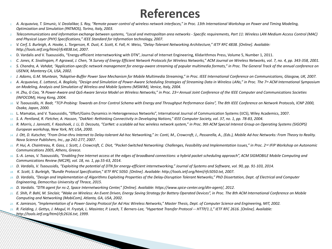#### **References**

- *1. A. Acquaviva, T. Simunic, V. Deolalikar, S. Roy, "Remote power control of wireless network interfaces," in Proc. 13th International Workshop on Power and Timing Modeling, Optimization and Simulation (PATMOS), Torino, Italy, 2003.*
- *2. Telecommunications and information exchange between systems, "Local and metropolitan area networks Specific requirements, Part 11: Wireless LAN Medium Access Control (MAC) and Physical Layer (PHY) Specifications," IEEE Standard for Information technology, 2007.*
- *3. V. Cerf, S. Burleigh, A. Hooke, L. Torgerson, R. Dust, K. Scott, K. Fall, H. Weiss, "Delay-Tolerant Networking Architecture," IETF RFC 4838. [Online]. Available: http://tools.ietf.org/html/rfc4838.txt, 2007.*
- 4. D. Vardalis and V. Tsaoussidis, "Energy-efficient internetworking with DTN", Journal of Internet Engineering, Klidarithmos Press, Volume 5, Number 1, 2011.
- *5. C. Jones, K. Sivalingam, P. Agrawal, J. Chen, "A Survey of Energy Efficient Network Protocols for Wireless Networks," ACM Journal on Wireless Networks, vol. 7, no. 4, pp. 343-358, 2001.*
- 6. S. Chandra, A. Vahdat, "Application-specific network management for energy-aware streaming of popular multimedia formats," in Proc. The General Track of the annual conference on *USENIX, Monterey CA, USA, 2002.*
- *7. J. Adams, G.M. Muntean, "Adaptive-Buffer Power Save Mechanism for Mobile Multimedia Streaming," in Proc. IEEE International Conference on Communications, Glasgow, UK, 2007.*
- *8. A. Acquaviva, E. Lattanzi, A. Bogliolo, "Design and Simulation of Power-Aware Scheduling Strategies of Streaming Data in Wireless LANs," in Proc. The 7th ACM International Symposium on Modeling, Analysis and Simulation of Wireless and Mobile Systems (MSWiM), Venice, Italy, 2004.*
- *9. H. Zhu, G Cao, "A Power-Aware and QoS-Aware Service Model on Wireless Networks," in Proc. 23rd Annual Joint Conference of the IEEE Computer and Communications Societies (INFOCOM), Hong Kong, 2004.*
- <sup>10.</sup> *V. Tsaoussidis, H. Badr, "TCP-Probing: Towards an Error Control Schema with Energy and Throughput Performance Gains", The 8th IEEE Conference on Network Protocols, ICNP 2000, Osaka, Japan, 2000.*
- 11. L. Mamatas, and V. Tsaoussidis, "Effort/Gains Dynamics in Heterogeneous Networks", International Journal of Communication Systems (IJCS), Wiley Academics, 2007.
- *12. S. A. Pentland, R. Fletcher, A. Hasson, "DakNet: Rethinking Connectivity in Developing Nations," IEEE Computer Society, vol. 37, no. 1, pp. 78-83, 2004.*
- 13. R. Morris, J. Jannotti, F. Kaashoek, J. Li, D. Decouto, "CarNet: a scalable ad hoc wireless network system," in Proc. 9th ACM Special Interest Group on Operating Systems (SIGOPS) *European workshop, New York, NY, USA, 2000.*
- 14. J. Ott, D. Kutscher, "From Drive-thru Internet to Delay-tolerant Ad-hoc Networking," in: Conti, M., Crowcroft, J., Passarella, A., (Eds.), Mobile Ad-hoc Networks: From Theory to Reality. *Nova Science Publishers, Inc., pp 241-277, 2007.*
- *15. P. Hui, A. Chaintreau, R. Gass, J. Scott, J. Crowcroft, C. Diot, "Pocket-Switched Networking: Challenges, Feasibility and Implementation Issues," in Proc. 2nd IFIP Workshop on Autonomic Communications 2005, Athens, Greece.*
- *16. S.-A. Lenas, V. Tsaoussidis, "Enabling free Internet access at the edges of broadband connections: a hybrid packet scheduling approach", ACM SIGMOBILE Mobile Computing and Communications Review (MC2R), vol. 18, no. 1, pp.55-63, 2014.*
- *17. D. Vardalis, V. Tsaoussidis, "Exploiting the potential of DTN for energy-efficient internetworking," Journal of Systems and Software, vol. 90, pp. 91-103, 2014.*
- *18. K. Scott, S. Burleigh, "Bundle Protocol Specification," IETF RFC 5050. [Online]. Available: http://tools.ietf.org/html/rfc5050.txt, 2007.*
- *19. D. Vardalis, "Design and Implementation of Algorithms Exploiting Properties of the Delay-Disruption Tolerant Networks," PhD Dissertation, Dept. of Electrical and Computer Engineering, Democritus University of Thrace, 2015.*
- *20. D. Vardalis. "DTN agent for ns-2, Space Internetworking Center," [Online]. Available: https://www.spice-center.org/dtn-agent/, 2012.*
- *21. E. Shih, P. Bahl, M. Sinclair, "Wake on Wireless: An Event Driven, Energy Saving Strategy for Battery Operated Devices", in Proc. The 8th ACM International Conference on Mobile Computing and Networking (MobiCom), Atlanta, GA, USA, 2002.*
- *22. K. Jamieson, "Implementation of a Power-Saving Protocol for Ad Hoc Wireless Networks," Master Thesis, Dept. of Computer Science and Engineering, MIT, 2002.*
- *23. R. Fielding, J. Gettys, J. Mogul, H. Frystyk, L. Masinter, P. Leach, T. Berners-Lee, "Hypertext Transfer Protocol -- HTTP/1.1," IETF RFC 2616. [Online]. Available: http://tools.ietf.org/html/rfc2616.txt, 1999.*